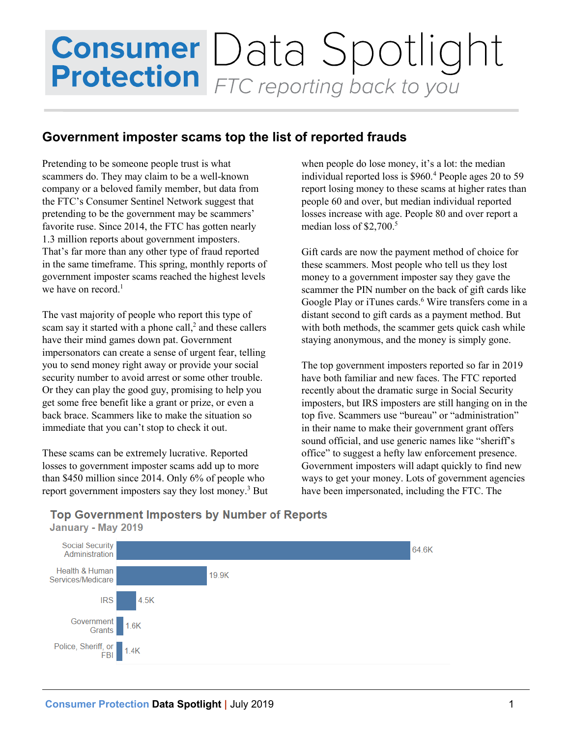# **Consumer** Data Spotlight<br>**Protection** FTC reporting back to you

## **Government imposter scams top the list of reported frauds**

Pretending to be someone people trust is what scammers do. They may claim to be a well-known company or a beloved family member, but data from the FTC's Consumer Sentinel Network suggest that pretending to be the government may be scammers' favorite ruse. Since 2014, the FTC has gotten nearly 1.3 million reports about government imposters. That's far more than any other type of fraud reported in the same timeframe. This spring, monthly reports of government imposter scams reached the highest levels we have on record. 1

The vast majority of people who report this type of scam say it started with a phone call,<sup>2</sup> and these callers have their mind games down pat. Government impersonators can create a sense of urgent fear, telling you to send money right away or provide your social security number to avoid arrest or some other trouble. Or they can play the good guy, promising to help you get some free benefit like a grant or prize, or even a back brace. Scammers like to make the situation so immediate that you can't stop to check it out.

These scams can be extremely lucrative. Reported losses to government imposter scams add up to more than \$450 million since 2014. Only 6% of people who report government imposters say they lost money. <sup>3</sup> But when people do lose money, it's a lot: the median individual reported loss is \$960.<sup>4</sup> People ages 20 to 59 report losing money to these scams at higher rates than people 60 and over, but median individual reported losses increase with age. People 80 and over report a median loss of  $$2,700.<sup>5</sup>$ 

Gift cards are now the payment method of choice for these scammers. Most people who tell us they lost money to a government imposter say they gave the scammer the PIN number on the back of gift cards like Google Play or iTunes cards.<sup>6</sup> Wire transfers come in a distant second to gift cards as a payment method. But with both methods, the scammer gets quick cash while staying anonymous, and the money is simply gone.

The top government imposters reported so far in 2019 have both familiar and new faces. The FTC reported recently about the dramatic surge in Social Security imposters, but IRS imposters are still hanging on in the top five. Scammers use "bureau" or "administration" in their name to make their government grant offers sound official, and use generic names like "sheriff's office" to suggest a hefty law enforcement presence. Government imposters will adapt quickly to find new ways to get your money. Lots of government agencies have been impersonated, including the FTC. The



## **Top Government Imposters by Number of Reports** January - May 2019